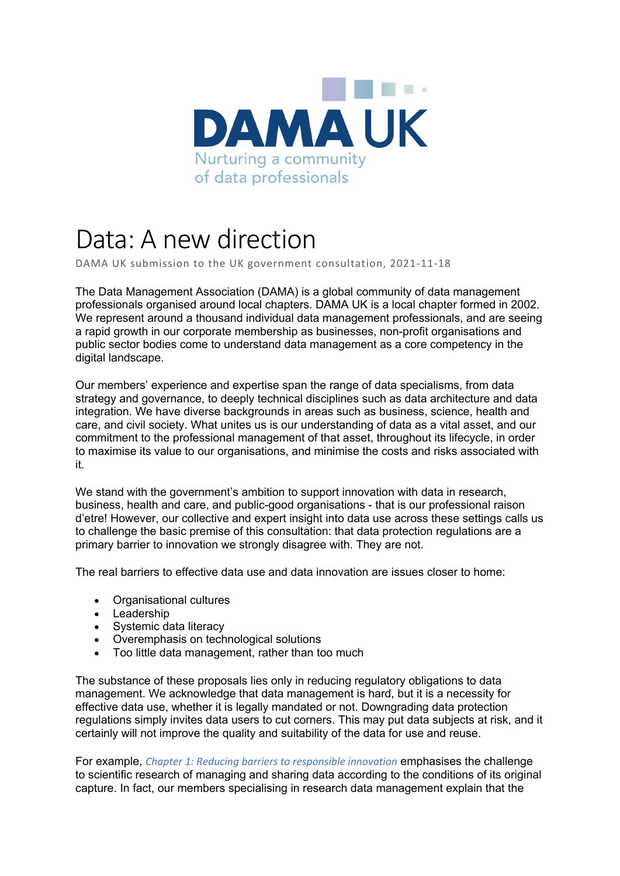

## Data: A new direction

DAMA UK submission to the UK government consultation, 2021-11-18

The Data Management Association (DAMA) is a global community of data management professionals organised around local chapters. DAMA UK is a local chapter formed in 2002. We represent around a thousand individual data management professionals, and are seeing a rapid growth in our corporate membership as businesses, non-profit organisations and public sector bodies come to understand data management as a core competency in the digital landscape.

Our members' experience and expertise span the range of data specialisms, from data strategy and governance, to deeply technical disciplines such as data architecture and data integration. We have diverse backgrounds in areas such as business, science, health and care, and civil society. What unites us is our understanding of data as a vital asset, and our commitment to the professional management of that asset, throughout its lifecycle, in order to maximise its value to our organisations, and minimise the costs and risks associated with it.

We stand with the government's ambition to support innovation with data in research, business, health and care, and public-good organisations - that is our professional raison d'etre! However, our collective and expert insight into data use across these settings calls us to challenge the basic premise of this consultation: that data protection regulations are a primary barrier to innovation we strongly disagree with. They are not.

The real barriers to effective data use and data innovation are issues closer to home:

- Organisational cultures
- Leadership
- Systemic data literacy
- Overemphasis on technological solutions
- Too little data management, rather than too much

The substance of these proposals lies only in reducing regulatory obligations to data management. We acknowledge that data management is hard, but it is a necessity for effective data use, whether it is legally mandated or not. Downgrading data protection regulations simply invites data users to cut corners. This may put data subjects at risk, and it certainly will not improve the quality and suitability of the data for use and reuse.

For example, *Chapter 1: Reducing barriers to responsible innovation* emphasises the challenge to scientific research of managing and sharing data according to the conditions of its original capture. In fact, our members specialising in research data management explain that the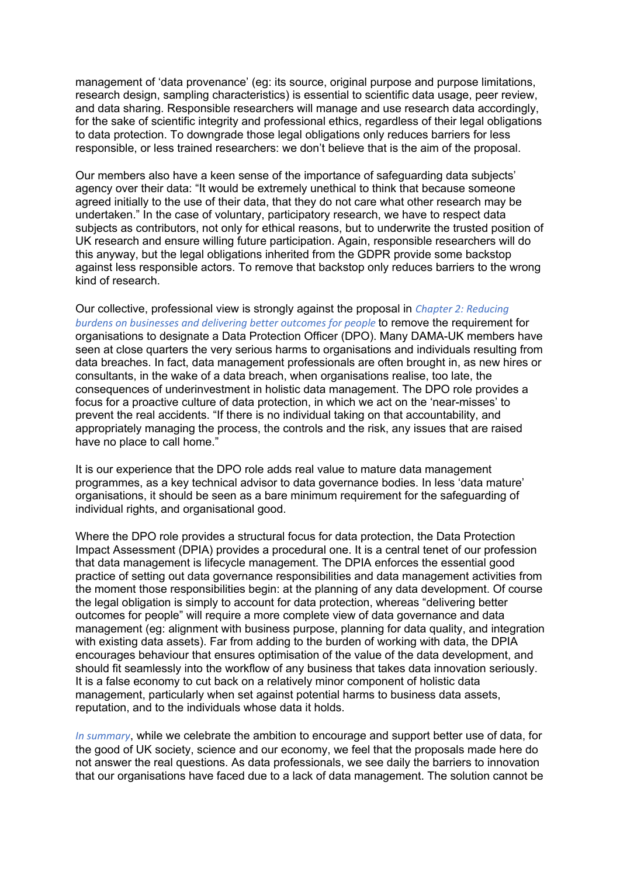management of 'data provenance' (eg: its source, original purpose and purpose limitations, research design, sampling characteristics) is essential to scientific data usage, peer review, and data sharing. Responsible researchers will manage and use research data accordingly, for the sake of scientific integrity and professional ethics, regardless of their legal obligations to data protection. To downgrade those legal obligations only reduces barriers for less responsible, or less trained researchers: we don't believe that is the aim of the proposal.

Our members also have a keen sense of the importance of safeguarding data subjects' agency over their data: "It would be extremely unethical to think that because someone agreed initially to the use of their data, that they do not care what other research may be undertaken." In the case of voluntary, participatory research, we have to respect data subjects as contributors, not only for ethical reasons, but to underwrite the trusted position of UK research and ensure willing future participation. Again, responsible researchers will do this anyway, but the legal obligations inherited from the GDPR provide some backstop against less responsible actors. To remove that backstop only reduces barriers to the wrong kind of research.

Our collective, professional view is strongly against the proposal in *Chapter 2: Reducing burdens on businesses and delivering better outcomes for people* to remove the requirement for organisations to designate a Data Protection Officer (DPO). Many DAMA-UK members have seen at close quarters the very serious harms to organisations and individuals resulting from data breaches. In fact, data management professionals are often brought in, as new hires or consultants, in the wake of a data breach, when organisations realise, too late, the consequences of underinvestment in holistic data management. The DPO role provides a focus for a proactive culture of data protection, in which we act on the 'near-misses' to prevent the real accidents. "If there is no individual taking on that accountability, and appropriately managing the process, the controls and the risk, any issues that are raised have no place to call home."

It is our experience that the DPO role adds real value to mature data management programmes, as a key technical advisor to data governance bodies. In less 'data mature' organisations, it should be seen as a bare minimum requirement for the safeguarding of individual rights, and organisational good.

Where the DPO role provides a structural focus for data protection, the Data Protection Impact Assessment (DPIA) provides a procedural one. It is a central tenet of our profession that data management is lifecycle management. The DPIA enforces the essential good practice of setting out data governance responsibilities and data management activities from the moment those responsibilities begin: at the planning of any data development. Of course the legal obligation is simply to account for data protection, whereas "delivering better outcomes for people" will require a more complete view of data governance and data management (eg: alignment with business purpose, planning for data quality, and integration with existing data assets). Far from adding to the burden of working with data, the DPIA encourages behaviour that ensures optimisation of the value of the data development, and should fit seamlessly into the workflow of any business that takes data innovation seriously. It is a false economy to cut back on a relatively minor component of holistic data management, particularly when set against potential harms to business data assets, reputation, and to the individuals whose data it holds.

*In summary*, while we celebrate the ambition to encourage and support better use of data, for the good of UK society, science and our economy, we feel that the proposals made here do not answer the real questions. As data professionals, we see daily the barriers to innovation that our organisations have faced due to a lack of data management. The solution cannot be